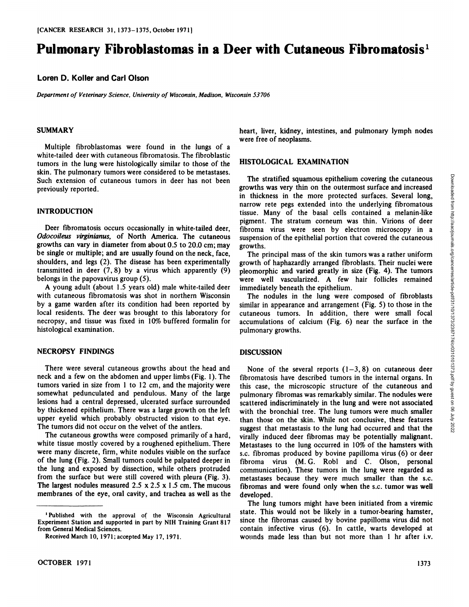# **Pulmonary Fibroblastomas in a Deer with Cutaneous Fibromatosis1**

## **Loren D. Koller and Carl Olson**

*Department of Veterinary Science, University of Wisconsin, Madison, Wisconsin 53706*

#### **SUMMARY**

Multiple fibroblastomas were found in the lungs of a white-tailed deer with cutaneous fibromatosis. The fibroblastic tumors in the lung were histologically similar to those of the skin. The pulmonary tumors were considered to be metastases. Such extension of cutaneous tumors in deer has not been previously reported.

### **INTRODUCTION**

Deer fibromatosis occurs occasionally in white-tailed deer, *Odocoileus virginianus, of North America. The cutaneous* growths can vary in diameter from about 0.5 to 20.0 cm; may be single or multiple; and are usually found on the neck, face, shoulders, and legs (2). The disease has been experimentally transmitted in deer  $(7, 8)$  by a virus which apparently  $(9)$ belongs in the papovavirus group (5).

A young adult (about 1.5 years old) male white-tailed deer with cutaneous fibromatosis was shot in northern Wisconsin by a game warden after its condition had been reported by local residents. The deer was brought to this laboratory for necropsy, and tissue was fixed in 10% buffered formalin for histological examination.

## **NECROPSY FINDINGS**

There were several cutaneous growths about the head and neck and a few on the abdomen and upper limbs (Fig. 1). The tumors varied in size from 1 to 12 cm, and the majority were somewhat pedunculated and pendulous. Many of the large lesions had a central depressed, ulcerated surface surrounded by thickened epithelium. There was a large growth on the left upper eyelid which probably obstructed vision to that eye. The tumors did not occur on the velvet of the antlers.

The cutaneous growths were composed primarily of a hard, white tissue mostly covered by a roughened epithelium. There were many discrete, firm, white nodules visible on the surface of the lung (Fig. 2). Small tumors could be palpated deeper in the lung and exposed by dissection, while others protruded from the surface but were still covered with pleura (Fig. 3). The largest nodules measured  $2.5 \times 2.5 \times 1.5$  cm. The mucous membranes of the eye, oral cavity, and trachea as well as the heart, liver, kidney, intestines, and pulmonary lymph nodes were free of neoplasms.

#### **HISTOLOGICAL EXAMINATION**

The stratified squamous epithelium covering the cutaneous<br>whis was very thin on the outermost surface and increased microsed<br>thickness in the more protected surfaces. Several long,<br>rrow rete pegs extended into the underly growths was very thin on the outermost surface and increased in thickness in the more protected surfaces. Several long, narrow rete pegs extended into the underlying fibromatous tissue. Many of the basal cells contained a melanin-like pigment. The stratum corneum was thin. Virions of deer fibroma virus were seen by electron microscopy in a suspension of the epithelial portion that covered the cutaneous growths.

The principal mass of the skin tumors was a rather uniform growth of haphazardly arranged fibroblasts. Their nuclei were pleomorphic and varied greatly in size (Fig. 4). The tumors were well vascularized. A few hair follicles remained immediately beneath the epithelium.

The nodules in the lung were composed of fibroblasts similar in appearance and arrangement (Fig. 5) to those in the cutaneous tumors. In addition, there were small focal accumulations of calcium (Fig. 6) near the surface in the pulmonary growths.

#### **DISCUSSION**

None of the several reports  $(1-3, 8)$  on cutaneous deer fibromatosis have described tumors in the internal organs. In this case, the microscopic structure of the cutaneous and pulmonary fibromas was remarkably similar. The nodules were scattered indiscriminately in the lung and were not associated with the bronchial tree. The lung tumors were much smaller than those on the skin. While not conclusive, these features suggest that metastasis to the lung had occurred and that the virally induced deer fibromas may be potentially malignant. Metastases to the lung occurred in 10% of the hamsters with s.c. fibromas produced by bovine papilloma virus (6) or deer fibroma virus (M. G. Robl and C. Olson, personal communication). These tumors in the lung were regarded as metastases because they were much smaller than the s.c. fibromas and were found only when the s.c. tumor was well developed.

The lung tumors might have been initiated from a viremic state. This would not be likely in a tumor-bearing hamster, since the fibromas caused by bovine papilloma virus did not contain infective virus (6). In cattle, warts developed at wounds made less than but not more than 1 hrafter i.v.

<sup>1</sup>Published with the approval of the Wisconsin Agricultural Experiment Station and supported in part by NIH Training Grant 817 from General Medical Sciences.

Received March 10, 1971; accepted May 17, 1971.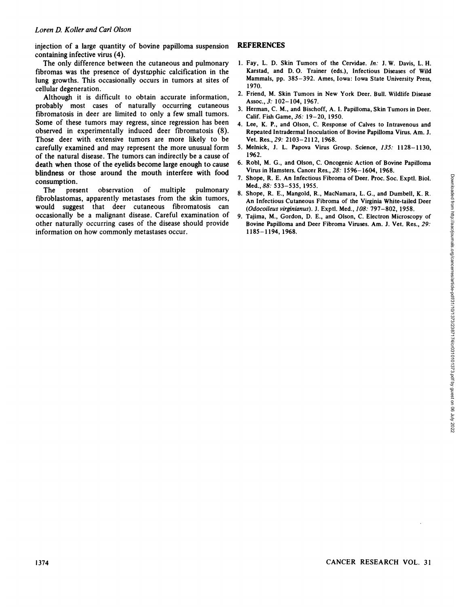injection of a large quantity of bovine papilloma suspension containing infective virus (4).

The only difference between the cutaneous and pulmonary fibromas was the presence of dystrpphic calcification in the lung growths. This occasionally occurs in tumors at sites of cellular degeneration.

Although it is difficult to obtain accurate information, probably most cases of naturally occurring cutaneous fibromatosis in deer are limited to only a few small tumors. Some of these tumors may regress, since regression has been observed in experimentally induced deer fibromatosis (8). Those deer with extensive tumors are more likely to be carefully examined and may represent the more unusual form of the natural disease. The tumors can indirectly be a cause of death when those of the eyelids become large enough to cause blindness or those around the mouth interfere with food consumption.

The present observation of multiple pulmonary fibroblastomas, apparently metastases from the skin tumors, would suggest that deer cutaneous fibromatosis can occasionally be a malignant disease. Careful examination of other naturally occurring cases of the disease should provide information on how commonly metastases occur. CONNECR RESEARCH VOL. 31<br>
The posset of obervation of multiple pulmonary is showned. Explored, R. McGrannical Concertres. The possible cancer<br>
The possible in the side members of a simple cancer in the same of the case of

## **REFERENCES**

- 1. Fay, L. D. Skin Tumors of the Cervidae. In: J. W. Davis, L. H. Karstad, and D.O. Trainer (eds.), Infectious Diseases of Wild Mammals, pp. 385-392. Ames, Iowa: Iowa State University Press, 1970.
- 2. Friend, M. Skin Tumors in New York Deer. Bull. Wildlife Disease Assoc., 3: 102-104, 1967.
- 3. Herman, C. M., and Bischoff, A. I. Papilloma, Skin Tumors in Deer. Calif. Fish Game, 36: 19-20, 1950.
- 4. Lee, K. P., and Olson, C. Response of Calves to Intravenous and Repeated Intradermal Inoculation of Bovine Papilloma Virus. Am. J. Vet. Res., 29: 2103-2112, 1968.
- 5. Melnick, J. L. Papova Virus Group. Science, 135: 1128-1130, 1962.
- 6. Robl, M. G., and Olson, C. Oncogenic Action of Bovine Papilloma Virus in Hamsters. Cancer Res., 28: 1596-1604, 1968.
- 7. Shope, R. E. An Infectious Fibroma of Deer. Proc. Soc. Exptl. Biol. *Med.,88: 533-535, 1955.*
- 8. Shope, R. E., Mangold, R., MacNamara, L. G., and Dumbell, K. R. An Infectious Cutaneous Fibroma of the Virginia White-tailed Deer *(Odocoileus virginianus). J. Exptl. Med., 108: 797-802, 1958.*
- 9. Tajima, M., Gordon, D. E., and Olson, C. Electron Microscopy of Bovine Papilloma and Deer Fibroma Viruses. Am. J. Vet. Res., 29: 1185-1194, 1968.